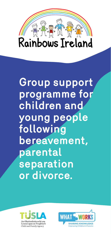

**Group support programme for children and young people following bereavement, parental separation or divorce.** 



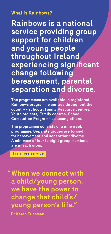#### **What is Rainbows?**

**Rainbows is a national service providing group support for children and young people throughout Ireland experiencing significant change following bereavement, parental separation and divorce.**

**The programmes are available in registered Rainbows programme centres throughout the country - schools, Family Resource centres, Youth projects, Family centres, School Completion Programmes among others.**

**The programme consists of a nine week programme. Separate groups are formed for bereavement and separation/divorce. A minimum of four to eight group members are in each group.**

**It is a free service.**

**"When we connect with a child/young person, we have the power to change that child's/ young person's life."** 

**Dr Karen Triesman**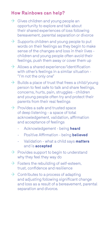### **How Rainbows can help?**

- $\rightarrow$  Gives children and young people an opportunity to explore and talk about their shared experiences of loss following bereavement, parental separation or divorce
- $\rightarrow$  Supports children and young people to put words on their feelings as they begin to make sense of the changes and loss in their lives children and young people often avoid their feelings, push them away or cover them up
- $\rightarrow$ Allows a shared experience/identification with other's feelings in a similar situation - "I'm not the only one"
- $\rightarrow$  Builds a place of trust that frees a child/young person to feel safe to talk and share feelings, concerns, hurts, pain, struggles - children and young people often try and protect their parents from their real feelings
- $\rightarrow$  Provides a safe and trusted space of deep listening - a space of total acknowledgement, validation, affirmation and acceptance of feelings
	- Acknowledgement being **heard**
	- Positive Affirmation being **believed**
	- Validation what a child says **matters**  and is **accepted**
- $\rightarrow$  Provides support to begin to understand why they feel they way do
- $\rightarrow$  Fosters the rebuilding of self-esteem. trust, confidence and resilience
- $\rightarrow$  Contributes to a process of adapting and adjusting following significant change and loss as a result of a bereavement, parental separation and divorce.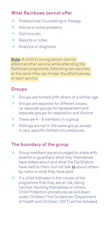### **What Rainbows cannot offer**

- $\rightarrow$ Professional Counselling or therapy
- $\rightarrow$ Advice or solve problems
- $\rightarrow$  Opinions etc
- $\rightarrow$ Reports or notes
- $\rightarrow$ Analysis or diagnosis

**Note:** A child or young person cannot attend another service while attending the Rainbows programme. Attending two services at the same time can hinder the effectiveness of each service

### **Groups**

- $\rightarrow$ Groups are formed with others of a similar age
- $\rightarrow$ Groups are separate for different losses, i.e. separate groups for bereavement and separate groups for separation and divorce
- There are 4 8 members in a group  $\rightarrow$
- $\rightarrow$ Siblings are not in the same group, except in very specific limited circumstances

### **The boundary of the group**

- $\rightarrow$  Group members are encouraged to share with parents or guardians what they themselves have talked about and what the Facilitators have said to them, but not talk **to** about others by name or what they have said
- $\rightarrow$ If a child indicates in the course of the programme that they are at risk, being harmed, harming themselves or others, Child Protection procedures as laid down under Children First Guidelines (Department of Health and Children, 2017) will be followed.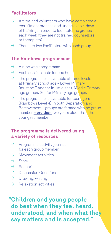### **Facilitators**

- $\rightarrow$  Are trained volunteers who have completed a recruitment process and undertaken 4 days of training, in order to facilitate the groups each week (they are not trained counsellors or therapists).
- $\rightarrow$ There are two Facilitators with each group

#### **The Rainbows programmes:**

- $\rightarrow$ A nine week programme
- $\rightarrow$ Each session lasts for one hour
- $\rightarrow$ The programme is available at three levels at Primary school age – Lower Primary (must be 7 and/or in 1st class), Middle Primary age groups, Senior Primary age groups.
- $\rightarrow$ The programme is available for teenagers (Rainbows Level 4) in both Separation and Bereavement - groups are formed with no group member **more than** two years older than the youngest member

#### **The programme is delivered using a variety of resources**

- $\rightarrow$ Programme activity journal for each group member
- $\rightarrow$ Movement activities
- $\rightarrow$ **Story**
- $\rightarrow$  Scenarios
- $\rightarrow$  Discussion Questions
- $\rightarrow$  Drawing, writing
- $\rightarrow$  Relaxation activities

**"Children and young people do best when they feel heard, understood, and when what they say matters and is accepted."**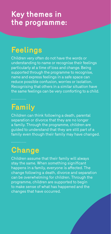### **Key themes in the programme:**

# **Feelings**

Children very often do not have the words or understanding to name or recognise their feelings particularly at a time of loss and change. Being supported through the programme to recognise, name and express feelings in a safe space can reduce possible confusion, worries or isolation. Recognising that others in a similar situation have the same feelings can be very comforting to a child.

### **Family**

Children can think following a death, parental separation or divorce that they are no longer a family. Through the programme, children are guided to understand that they are still part of a family even though their family may have changed.

**Change**

Children assume that their family will always stay the same. When something significant happens in a family, everyone is affected. The change following a death, divorce and separation can be overwhelming for children. Through the programme, children are supported to begin to make sense of what has happened and the changes that have occurred.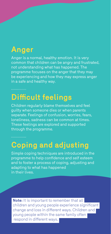### **Anger**

Anger is a normal, healthy emotion. It is very common that children can be angry and frustrated, not understanding what has happened. The programme focuses on the anger that they may be experiencing and how they may express anger in a safe and healthy way.

### **Difficult feelings**

Children regularly blame themselves and feel guilty when someone dies or when parents separate. Feelings of confusion, worries, fears, loneliness, sadness can be common at times. These feelings are explored and supported through the programme.

### **Coping and adjusting**

Simple coping techniques are introduced in the programme to help confidence and self esteem and to foster a process of coping, adjusting and adapting to what has happened in their lives.

**Note:** It is important to remember that all children and young people experience significant change and loss in different ways. Children and young people within the same family often respond in different ways.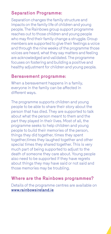### **Separation Programme:**

Separation changes the family structure and impacts on the family life of children and young people. The Rainbows group support programme reaches out to those children and young people who may find their family change a struggle. Group members are supported to give their feelings a voice and through the nine weeks of the programme those voices are heard, what they say matters and feeling are acknowledged and validated. The programme focuses on fostering and building a positive and healthy adjustment for children and young people.

#### **Bereavement programme:**

When a bereavement happens in a family. everyone in the family can be affected in different ways.

The programme supports children and young people to be able to share their story about the person that has died. They are supported to talk about what the person meant to them and the part they played in their lives. Most of all, the programme seeks to help children and young people to build their memories of the person, things they did together, times they spent together,times they laughed together and other special times they shared together. This is very much part of being supported to adjust to the death of someone they care about. Young people also need to be supported if they have regrets about things they may have said or not said and those memories may be troubling.

### **Where are the Rainbows programmes?**

Details of the programme centres are available on **www.rainbowsireland.ie**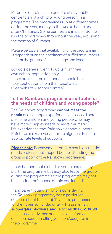Parents/Guardians can enquire at any public centre to enrol a child or young person in a programme. The programmes run at different times during the year, mainly in the weeks before and after Christmas. Some centres are in a position to run the programmes throughout the year, excluding the months of Summer.

Please be aware that availability of the programme is dependent on the enrolment of sufficient numbers to form the groups of a similar age and loss.

Schools generally enrol pupils from their own school population only. There are a limited number of schools that take applications from their local area. (See website – school centres)

#### **Is the Rainbows programme suitable for the needs of children and young people?**

The Rainbows programme **cannot meet the needs** of all change experiences or losses. There are some children and young people who may have more complex needs or more traumatic life experiences that Rainbows cannot support. Rainbows makes every effort to signpost to more appropriate levels of supports.

**Please note:** Bereavement that is a result of suicide needs professional support before attending the group support of the Rainbows programme.

It can happen that a child or young person may start the programme but may also leave the group during the programme as the programme may not be meeting their needs at this particular time.

If any parent/guardian who is considering the Rainbows programme, has a particular concern about the suitability of the programme for their their son or daughter - Please email **support@rainbowsireland.ie** or call **087 351 0898** to discuss in advance and make an informed decision about enrolling your son/daughter in the programme.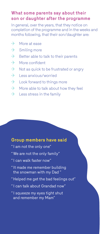#### **What some parents say about their son or daughter after the programme**

In general, over the years, that they notice on completion of the programme and in the weeks and months following, that their son/daughter are:

- $\rightarrow$ More at ease
- $\rightarrow$ Smiling more
- $\rightarrow$ Better able to talk to their parents
- $\rightarrow$ More confident
- $\rightarrow$ Not as quick to be frustrated or angry
- $\rightarrow$ Less anxious/worried
- $\rightarrow$ Look forward to things more
- $\rightarrow$ More able to talk about how they feel
- $\rightarrow$ Less stress in the family

#### **Group members have said**

- "I am not the only one"
- "We are not the only family"
- "I can walk faster now"
- "It made me remember building the snowman with my Dad "
- "Helped me get the bad feelings out"
- "I can talk about Grandad now"
- "I squeeze my eyes tight shut and remember my Mam"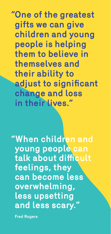**"One of the greatest gifts we can give children and young people is helping them to believe in themselves and their ability to adjust to significant change and loss in their lives."**

**"When children and young people can talk about difficult feelings, they can become less overwhelming, less upsetting**  and less scary.

**Fred Rogers**